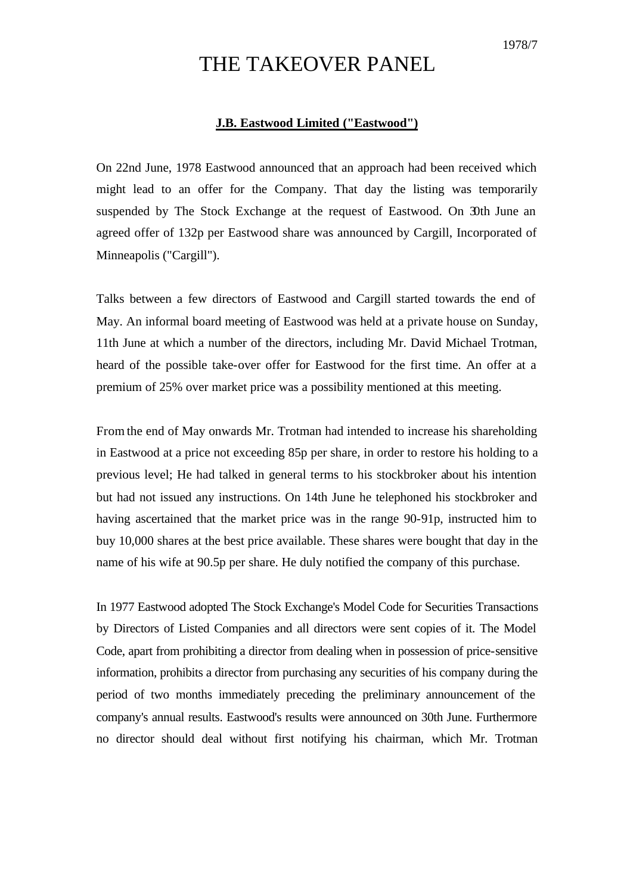## THE TAKEOVER PANEL

## **J.B. Eastwood Limited ("Eastwood")**

On 22nd June, 1978 Eastwood announced that an approach had been received which might lead to an offer for the Company. That day the listing was temporarily suspended by The Stock Exchange at the request of Eastwood. On 30th June an agreed offer of 132p per Eastwood share was announced by Cargill, Incorporated of Minneapolis ("Cargill").

Talks between a few directors of Eastwood and Cargill started towards the end of May. An informal board meeting of Eastwood was held at a private house on Sunday, 11th June at which a number of the directors, including Mr. David Michael Trotman, heard of the possible take-over offer for Eastwood for the first time. An offer at a premium of 25% over market price was a possibility mentioned at this meeting.

From the end of May onwards Mr. Trotman had intended to increase his shareholding in Eastwood at a price not exceeding 85p per share, in order to restore his holding to a previous level; He had talked in general terms to his stockbroker about his intention but had not issued any instructions. On 14th June he telephoned his stockbroker and having ascertained that the market price was in the range 90-91p, instructed him to buy 10,000 shares at the best price available. These shares were bought that day in the name of his wife at 90.5p per share. He duly notified the company of this purchase.

In 1977 Eastwood adopted The Stock Exchange's Model Code for Securities Transactions by Directors of Listed Companies and all directors were sent copies of it. The Model Code, apart from prohibiting a director from dealing when in possession of price-sensitive information, prohibits a director from purchasing any securities of his company during the period of two months immediately preceding the preliminary announcement of the company's annual results. Eastwood's results were announced on 30th June. Furthermore no director should deal without first notifying his chairman, which Mr. Trotman